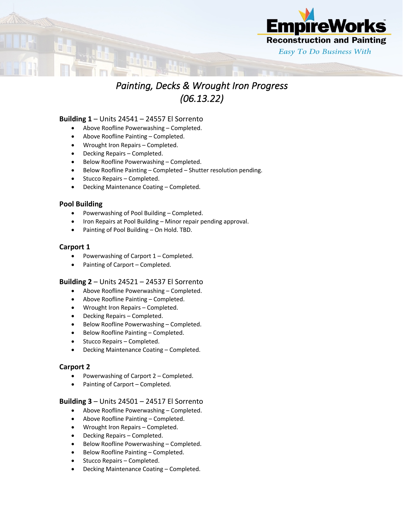

# *Painting, Decks & Wrought Iron Progress (06.13.22)*

#### **Building 1** – Units 24541 – 24557 El Sorrento

- Above Roofline Powerwashing Completed.
- Above Roofline Painting Completed.
- Wrought Iron Repairs Completed.
- Decking Repairs Completed.
- Below Roofline Powerwashing Completed.
- Below Roofline Painting Completed Shutter resolution pending.
- Stucco Repairs Completed.
- Decking Maintenance Coating Completed.

## **Pool Building**

- Powerwashing of Pool Building Completed.
- Iron Repairs at Pool Building Minor repair pending approval.
- Painting of Pool Building On Hold. TBD.

# **Carport 1**

- Powerwashing of Carport 1 Completed.
- Painting of Carport Completed.

## **Building 2** – Units 24521 – 24537 El Sorrento

- Above Roofline Powerwashing Completed.
- Above Roofline Painting Completed.
- Wrought Iron Repairs Completed.
- Decking Repairs Completed.
- Below Roofline Powerwashing Completed.
- Below Roofline Painting Completed.
- Stucco Repairs Completed.
- Decking Maintenance Coating Completed.

## **Carport 2**

- Powerwashing of Carport 2 Completed.
- Painting of Carport Completed.

## **Building 3** – Units 24501 – 24517 El Sorrento

- Above Roofline Powerwashing Completed.
- Above Roofline Painting Completed.
- Wrought Iron Repairs Completed.
- Decking Repairs Completed.
- Below Roofline Powerwashing Completed.
- Below Roofline Painting Completed.
- Stucco Repairs Completed.
- Decking Maintenance Coating Completed.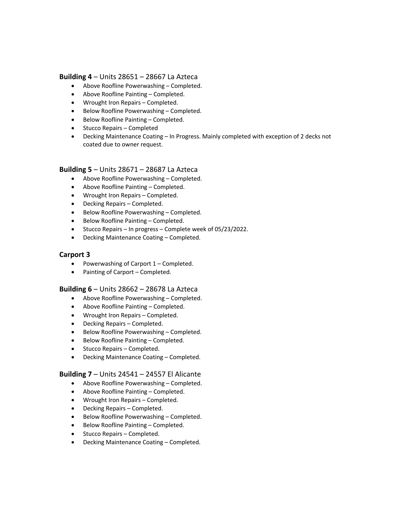#### **Building 4** – Units 28651 – 28667 La Azteca

- Above Roofline Powerwashing Completed.
- Above Roofline Painting Completed.
- Wrought Iron Repairs Completed.
- Below Roofline Powerwashing Completed.
- Below Roofline Painting Completed.
- Stucco Repairs Completed
- Decking Maintenance Coating In Progress. Mainly completed with exception of 2 decks not coated due to owner request.

#### **Building 5** – Units 28671 – 28687 La Azteca

- Above Roofline Powerwashing Completed.
- Above Roofline Painting Completed.
- Wrought Iron Repairs Completed.
- Decking Repairs Completed.
- Below Roofline Powerwashing Completed.
- Below Roofline Painting Completed.
- Stucco Repairs In progress Complete week of 05/23/2022.
- Decking Maintenance Coating Completed.

## **Carport 3**

- Powerwashing of Carport 1 Completed.
- Painting of Carport Completed.

#### **Building 6** – Units 28662 – 28678 La Azteca

- Above Roofline Powerwashing Completed.
- Above Roofline Painting Completed.
- Wrought Iron Repairs Completed.
- Decking Repairs Completed.
- Below Roofline Powerwashing Completed.
- Below Roofline Painting Completed.
- Stucco Repairs Completed.
- Decking Maintenance Coating Completed.

#### **Building 7** – Units 24541 – 24557 El Alicante

- Above Roofline Powerwashing Completed.
- Above Roofline Painting Completed.
- Wrought Iron Repairs Completed.
- Decking Repairs Completed.
- Below Roofline Powerwashing Completed.
- Below Roofline Painting Completed.
- Stucco Repairs Completed.
- Decking Maintenance Coating Completed.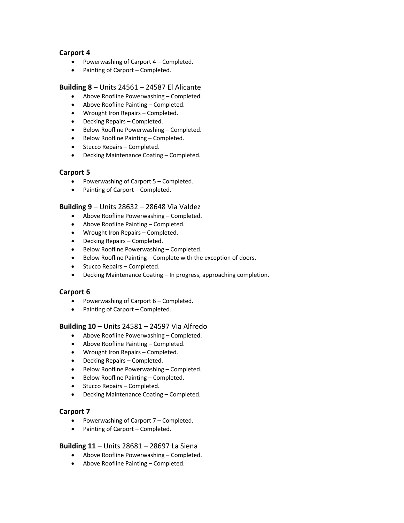# **Carport 4**

- Powerwashing of Carport 4 Completed.
- Painting of Carport Completed.

#### **Building 8** – Units 24561 – 24587 El Alicante

- Above Roofline Powerwashing Completed.
- Above Roofline Painting Completed.
- Wrought Iron Repairs Completed.
- Decking Repairs Completed.
- Below Roofline Powerwashing Completed.
- Below Roofline Painting Completed.
- Stucco Repairs Completed.
- Decking Maintenance Coating Completed.

## **Carport 5**

- Powerwashing of Carport 5 Completed.
- Painting of Carport Completed.

#### **Building 9** – Units 28632 – 28648 Via Valdez

- Above Roofline Powerwashing Completed.
- Above Roofline Painting Completed.
- Wrought Iron Repairs Completed.
- Decking Repairs Completed.
- Below Roofline Powerwashing Completed.
- Below Roofline Painting Complete with the exception of doors.
- Stucco Repairs Completed.
- Decking Maintenance Coating In progress, approaching completion.

## **Carport 6**

- Powerwashing of Carport 6 Completed.
- Painting of Carport Completed.

## **Building 10** – Units 24581 – 24597 Via Alfredo

- Above Roofline Powerwashing Completed.
- Above Roofline Painting Completed.
- Wrought Iron Repairs Completed.
- Decking Repairs Completed.
- Below Roofline Powerwashing Completed.
- Below Roofline Painting Completed.
- Stucco Repairs Completed.
- Decking Maintenance Coating Completed.

## **Carport 7**

- Powerwashing of Carport 7 Completed.
- Painting of Carport Completed.

#### **Building 11** – Units 28681 – 28697 La Siena

- Above Roofline Powerwashing Completed.
- Above Roofline Painting Completed.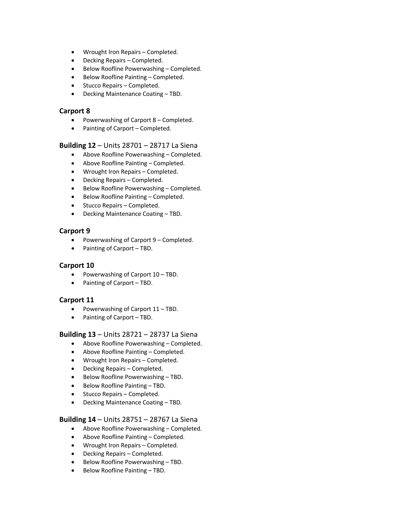- Wrought Iron Repairs Completed.
- Decking Repairs Completed.
- Below Roofline Powerwashing Completed.
- Below Roofline Painting Completed.
- Stucco Repairs Completed.
- Decking Maintenance Coating TBD.

#### **Carport 8**

- Powerwashing of Carport 8 Completed.
- Painting of Carport Completed.

#### **Building 12** – Units 28701 – 28717 La Siena

- Above Roofline Powerwashing Completed.
- Above Roofline Painting Completed.
- Wrought Iron Repairs Completed.
- Decking Repairs Completed.
- Below Roofline Powerwashing Completed.
- Below Roofline Painting Completed.
- Stucco Repairs Completed.
- Decking Maintenance Coating TBD.

## **Carport 9**

- Powerwashing of Carport 9 Completed.
- Painting of Carport TBD.

## **Carport 10**

- Powerwashing of Carport 10 TBD.
- Painting of Carport TBD.

## **Carport 11**

- Powerwashing of Carport 11 TBD.
- Painting of Carport TBD.

## **Building 13** – Units 28721 – 28737 La Siena

- Above Roofline Powerwashing Completed.
- Above Roofline Painting Completed.
- Wrought Iron Repairs Completed.
- Decking Repairs Completed.
- Below Roofline Powerwashing TBD.
- Below Roofline Painting TBD.
- Stucco Repairs Completed.
- Decking Maintenance Coating TBD.

## **Building 14** – Units 28751 – 28767 La Siena

- Above Roofline Powerwashing Completed.
- Above Roofline Painting Completed.
- Wrought Iron Repairs Completed.
- Decking Repairs Completed.
- Below Roofline Powerwashing TBD.
- Below Roofline Painting TBD.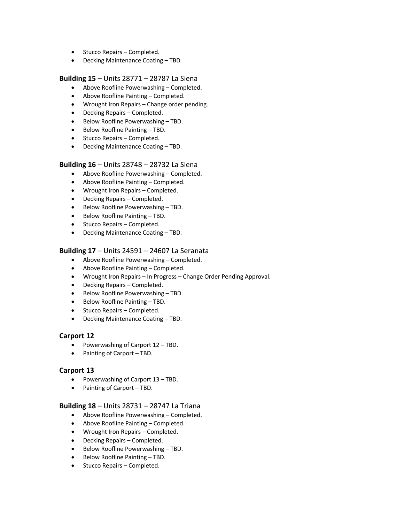- Stucco Repairs Completed.
- Decking Maintenance Coating TBD.

#### **Building 15** – Units 28771 – 28787 La Siena

- Above Roofline Powerwashing Completed.
- Above Roofline Painting Completed.
- Wrought Iron Repairs Change order pending.
- Decking Repairs Completed.
- Below Roofline Powerwashing TBD.
- Below Roofline Painting TBD.
- Stucco Repairs Completed.
- Decking Maintenance Coating TBD.

#### **Building 16** – Units 28748 – 28732 La Siena

- Above Roofline Powerwashing Completed.
- Above Roofline Painting Completed.
- Wrought Iron Repairs Completed.
- Decking Repairs Completed.
- Below Roofline Powerwashing TBD.
- Below Roofline Painting TBD.
- Stucco Repairs Completed.
- Decking Maintenance Coating TBD.

#### **Building 17** – Units 24591 – 24607 La Seranata

- Above Roofline Powerwashing Completed.
- Above Roofline Painting Completed.
- Wrought Iron Repairs In Progress Change Order Pending Approval.
- Decking Repairs Completed.
- Below Roofline Powerwashing TBD.
- Below Roofline Painting TBD.
- Stucco Repairs Completed.
- Decking Maintenance Coating TBD.

#### **Carport 12**

- Powerwashing of Carport 12 TBD.
- Painting of Carport TBD.

#### **Carport 13**

- Powerwashing of Carport 13 TBD.
- Painting of Carport TBD.

#### **Building 18** – Units 28731 – 28747 La Triana

- Above Roofline Powerwashing Completed.
- Above Roofline Painting Completed.
- Wrought Iron Repairs Completed.
- Decking Repairs Completed.
- Below Roofline Powerwashing TBD.
- Below Roofline Painting TBD.
- Stucco Repairs Completed.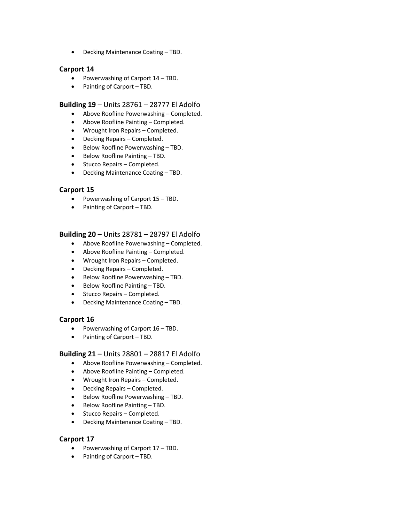• Decking Maintenance Coating – TBD.

## **Carport 14**

- Powerwashing of Carport 14 TBD.
- Painting of Carport TBD.

#### **Building 19** – Units 28761 – 28777 El Adolfo

- Above Roofline Powerwashing Completed.
- Above Roofline Painting Completed.
- Wrought Iron Repairs Completed.
- Decking Repairs Completed.
- Below Roofline Powerwashing TBD.
- Below Roofline Painting TBD.
- Stucco Repairs Completed.
- Decking Maintenance Coating TBD.

## **Carport 15**

- Powerwashing of Carport 15 TBD.
- Painting of Carport TBD.

## **Building 20** – Units 28781 – 28797 El Adolfo

- Above Roofline Powerwashing Completed.
- Above Roofline Painting Completed.
- Wrought Iron Repairs Completed.
- Decking Repairs Completed.
- Below Roofline Powerwashing TBD.
- Below Roofline Painting TBD.
- Stucco Repairs Completed.
- Decking Maintenance Coating TBD.

## **Carport 16**

- Powerwashing of Carport 16 TBD.
- Painting of Carport TBD.

#### **Building 21** – Units 28801 – 28817 El Adolfo

- Above Roofline Powerwashing Completed.
- Above Roofline Painting Completed.
- Wrought Iron Repairs Completed.
- Decking Repairs Completed.
- Below Roofline Powerwashing TBD.
- Below Roofline Painting TBD.
- Stucco Repairs Completed.
- Decking Maintenance Coating TBD.

## **Carport 17**

- Powerwashing of Carport 17 TBD.
- Painting of Carport TBD.